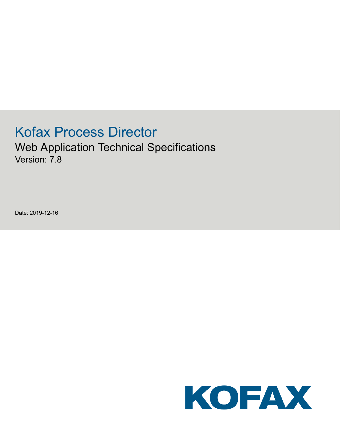# Kofax Process Director

Web Application Technical Specifications Version: 7.8

Date: 2019-12-16

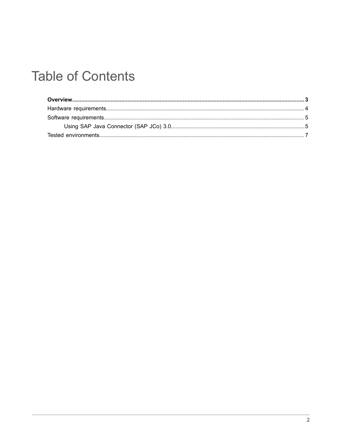# **Table of Contents**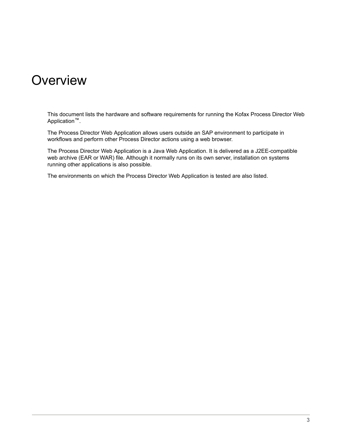#### <span id="page-2-0"></span>**Overview**

This document lists the hardware and software requirements for running the Kofax Process Director Web Application™.

The Process Director Web Application allows users outside an SAP environment to participate in workflows and perform other Process Director actions using a web browser.

The Process Director Web Application is a Java Web Application. It is delivered as a J2EE-compatible web archive (EAR or WAR) file. Although it normally runs on its own server, installation on systems running other applications is also possible.

The environments on which the Process Director Web Application is tested are also listed.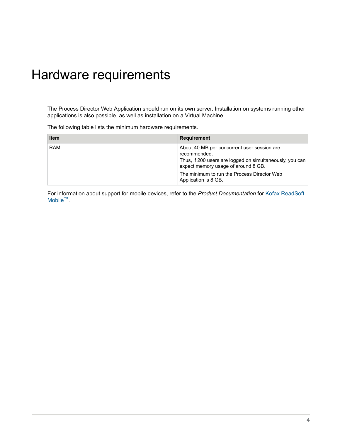## <span id="page-3-0"></span>Hardware requirements

The Process Director Web Application should run on its own server. Installation on systems running other applications is also possible, as well as installation on a Virtual Machine.

The following table lists the minimum hardware requirements.

| <b>Item</b> | <b>Requirement</b>                                                                                                                                                                                                                    |
|-------------|---------------------------------------------------------------------------------------------------------------------------------------------------------------------------------------------------------------------------------------|
| <b>RAM</b>  | About 40 MB per concurrent user session are<br>recommended.<br>Thus, if 200 users are logged on simultaneously, you can<br>expect memory usage of around 8 GB.<br>The minimum to run the Process Director Web<br>Application is 8 GB. |

For information about support for mobile devices, refer to the *Product Documentation* for [Kofax ReadSoft](https://docshield.kofax.com/Portal/Products/en_US/RSM/RS_Mobile.htm) [Mobile](https://docshield.kofax.com/Portal/Products/en_US/RSM/RS_Mobile.htm)™.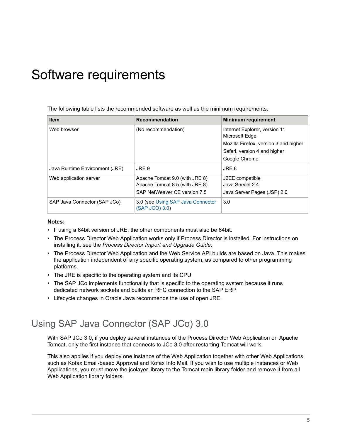## <span id="page-4-0"></span>Software requirements

The following table lists the recommended software as well as the minimum requirements.

| <b>Item</b>                    | <b>Recommendation</b>                                                                            | <b>Minimum requirement</b>                                                                                                                |
|--------------------------------|--------------------------------------------------------------------------------------------------|-------------------------------------------------------------------------------------------------------------------------------------------|
| Web browser                    | (No recommendation)                                                                              | Internet Explorer, version 11<br>Microsoft Edge<br>Mozilla Firefox, version 3 and higher<br>Safari, version 4 and higher<br>Google Chrome |
| Java Runtime Environment (JRE) | JRE 9                                                                                            | JRE 8                                                                                                                                     |
| Web application server         | Apache Tomcat 9.0 (with JRE 8)<br>Apache Tomcat 8.5 (with JRE 8)<br>SAP NetWeaver CE version 7.5 | J2EE compatible<br>Java Servlet 2.4<br>Java Server Pages (JSP) 2.0                                                                        |
| SAP Java Connector (SAP JCo)   | 3.0 (see Using SAP Java Connector<br>(SAP JCO) 3.0)                                              | 3.0                                                                                                                                       |

#### **Notes:**

- If using a 64bit version of JRE, the other components must also be 64bit.
- The Process Director Web Application works only if Process Director is installed. For instructions on installing it, see the *Process Director Import and Upgrade Guide*.
- The Process Director Web Application and the Web Service API builds are based on Java. This makes the application independent of any specific operating system, as compared to other programming platforms.
- The JRE is specific to the operating system and its CPU.
- The SAP JCo implements functionality that is specific to the operating system because it runs dedicated network sockets and builds an RFC connection to the SAP ERP.
- Lifecycle changes in Oracle Java recommends the use of open JRE.

#### <span id="page-4-1"></span>Using SAP Java Connector (SAP JCo) 3.0

With SAP JCo 3.0, if you deploy several instances of the Process Director Web Application on Apache Tomcat, only the first instance that connects to JCo 3.0 after restarting Tomcat will work.

This also applies if you deploy one instance of the Web Application together with other Web Applications such as Kofax Email-based Approval and Kofax Info Mail. If you wish to use multiple instances or Web Applications, you must move the jcolayer library to the Tomcat main library folder and remove it from all Web Application library folders.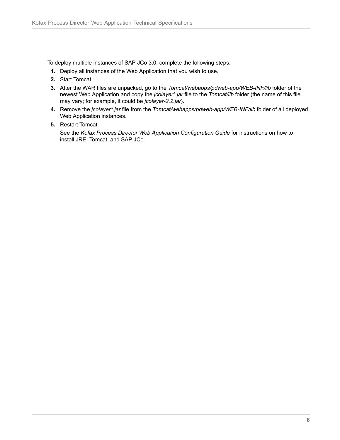To deploy multiple instances of SAP JCo 3.0, complete the following steps.

- **1.** Deploy all instances of the Web Application that you wish to use.
- **2.** Start Tomcat.
- **3.** After the WAR files are unpacked, go to the *Tomcat/webapps/pdweb-app/WEB-INF/lib* folder of the newest Web Application and copy the *jcolayer\*.jar* file to the *Tomcat/lib* folder (the name of this file may vary; for example, it could be *jcolayer-2.2.jar*).
- **4.** Remove the *jcolayer\*.jar* file from the *Tomcat/webapps/pdweb-app/WEB-INF/lib* folder of all deployed Web Application instances.
- **5.** Restart Tomcat.

See the *Kofax Process Director Web Application Configuration Guide* for instructions on how to install JRE, Tomcat, and SAP JCo.